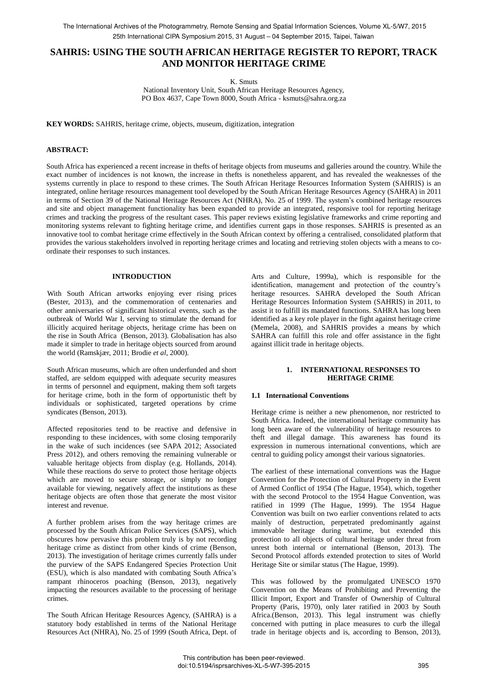# **SAHRIS: USING THE SOUTH AFRICAN HERITAGE REGISTER TO REPORT, TRACK AND MONITOR HERITAGE CRIME**

K. Smuts

National Inventory Unit, South African Heritage Resources Agency, PO Box 4637, Cape Town 8000, South Africa - ksmuts@sahra.org.za

**KEY WORDS:** SAHRIS, heritage crime, objects, museum, digitization, integration

# **ABSTRACT:**

South Africa has experienced a recent increase in thefts of heritage objects from museums and galleries around the country. While the exact number of incidences is not known, the increase in thefts is nonetheless apparent, and has revealed the weaknesses of the systems currently in place to respond to these crimes. The South African Heritage Resources Information System (SAHRIS) is an integrated, online heritage resources management tool developed by the South African Heritage Resources Agency (SAHRA) in 2011 in terms of Section 39 of the National Heritage Resources Act (NHRA), No. 25 of 1999. The system's combined heritage resources and site and object management functionality has been expanded to provide an integrated, responsive tool for reporting heritage crimes and tracking the progress of the resultant cases. This paper reviews existing legislative frameworks and crime reporting and monitoring systems relevant to fighting heritage crime, and identifies current gaps in those responses. SAHRIS is presented as an innovative tool to combat heritage crime effectively in the South African context by offering a centralised, consolidated platform that provides the various stakeholders involved in reporting heritage crimes and locating and retrieving stolen objects with a means to coordinate their responses to such instances.

# **INTRODUCTION**

With South African artworks enjoying ever rising prices (Bester, 2013), and the commemoration of centenaries and other anniversaries of significant historical events, such as the outbreak of World War I, serving to stimulate the demand for illicitly acquired heritage objects, heritage crime has been on the rise in South Africa (Benson, 2013). Globalisation has also made it simpler to trade in heritage objects sourced from around the world (Ramskjær, 2011; Brodie *et al*, 2000).

South African museums, which are often underfunded and short staffed, are seldom equipped with adequate security measures in terms of personnel and equipment, making them soft targets for heritage crime, both in the form of opportunistic theft by individuals or sophisticated, targeted operations by crime syndicates (Benson, 2013).

Affected repositories tend to be reactive and defensive in responding to these incidences, with some closing temporarily in the wake of such incidences (see SAPA 2012; Associated Press 2012), and others removing the remaining vulnerable or valuable heritage objects from display (e.g. Hollands, 2014). While these reactions do serve to protect those heritage objects which are moved to secure storage, or simply no longer available for viewing, negatively affect the institutions as these heritage objects are often those that generate the most visitor interest and revenue.

A further problem arises from the way heritage crimes are processed by the South African Police Services (SAPS), which obscures how pervasive this problem truly is by not recording heritage crime as distinct from other kinds of crime (Benson, 2013). The investigation of heritage crimes currently falls under the purview of the SAPS Endangered Species Protection Unit (ESU), which is also mandated with combating South Africa's rampant rhinoceros poaching (Benson, 2013), negatively impacting the resources available to the processing of heritage crimes.

The South African Heritage Resources Agency, (SAHRA) is a statutory body established in terms of the National Heritage Resources Act (NHRA), No. 25 of 1999 (South Africa, Dept. of

Arts and Culture, 1999a), which is responsible for the identification, management and protection of the country's heritage resources. SAHRA developed the South African Heritage Resources Information System (SAHRIS) in 2011, to assist it to fulfill its mandated functions. SAHRA has long been identified as a key role player in the fight against heritage crime (Memela, 2008), and SAHRIS provides a means by which SAHRA can fulfill this role and offer assistance in the fight against illicit trade in heritage objects.

# **1. INTERNATIONAL RESPONSES TO HERITAGE CRIME**

#### **1.1 International Conventions**

Heritage crime is neither a new phenomenon, nor restricted to South Africa. Indeed, the international heritage community has long been aware of the vulnerability of heritage resources to theft and illegal damage. This awareness has found its expression in numerous international conventions, which are central to guiding policy amongst their various signatories.

The earliest of these international conventions was the Hague Convention for the Protection of Cultural Property in the Event of Armed Conflict of 1954 (The Hague, 1954), which, together with the second Protocol to the 1954 Hague Convention, was ratified in 1999 (The Hague, 1999). The 1954 Hague Convention was built on two earlier conventions related to acts mainly of destruction, perpetrated predominantly against immovable heritage during wartime, but extended this protection to all objects of cultural heritage under threat from unrest both internal or international (Benson, 2013). The Second Protocol affords extended protection to sites of World Heritage Site or similar status (The Hague, 1999).

This was followed by the promulgated UNESCO 1970 Convention on the Means of Prohibiting and Preventing the Illicit Import, Export and Transfer of Ownership of Cultural Property (Paris, 1970), only later ratified in 2003 by South Africa.(Benson, 2013). This legal instrument was chiefly concerned with putting in place measures to curb the illegal trade in heritage objects and is, according to Benson, 2013),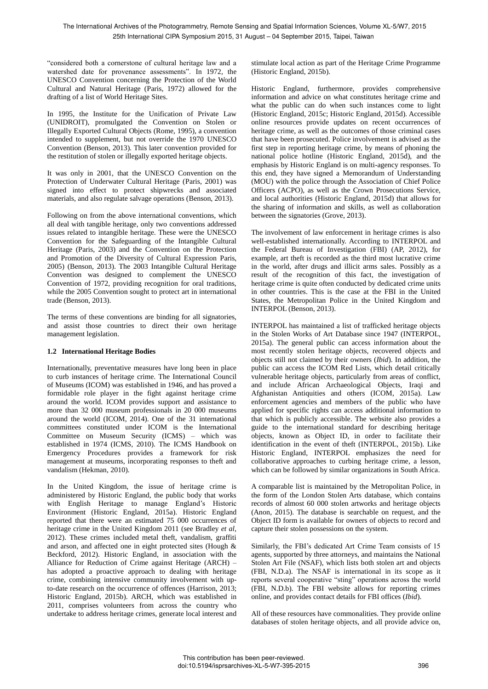"considered both a cornerstone of cultural heritage law and a watershed date for provenance assessments". In 1972, the UNESCO Convention concerning the Protection of the World Cultural and Natural Heritage (Paris, 1972) allowed for the drafting of a list of World Heritage Sites.

In 1995, the Institute for the Unification of Private Law (UNIDROIT), promulgated the Convention on Stolen or Illegally Exported Cultural Objects (Rome, 1995), a convention intended to supplement, but not override the 1970 UNESCO Convention (Benson, 2013). This later convention provided for the restitution of stolen or illegally exported heritage objects.

It was only in 2001, that the UNESCO Convention on the Protection of Underwater Cultural Heritage (Paris, 2001) was signed into effect to protect shipwrecks and associated materials, and also regulate salvage operations (Benson, 2013).

Following on from the above international conventions, which all deal with tangible heritage, only two conventions addressed issues related to intangible heritage. These were the UNESCO Convention for the Safeguarding of the Intangible Cultural Heritage (Paris, 2003) and the Convention on the Protection and Promotion of the Diversity of Cultural Expression Paris, 2005) (Benson, 2013). The 2003 Intangible Cultural Heritage Convention was designed to complement the UNESCO Convention of 1972, providing recognition for oral traditions, while the 2005 Convention sought to protect art in international trade (Benson, 2013).

The terms of these conventions are binding for all signatories, and assist those countries to direct their own heritage management legislation.

# **1.2 International Heritage Bodies**

Internationally, preventative measures have long been in place to curb instances of heritage crime. The International Council of Museums (ICOM) was established in 1946, and has proved a formidable role player in the fight against heritage crime around the world. ICOM provides support and assistance to more than 32 000 museum professionals in 20 000 museums around the world (ICOM, 2014). One of the 31 international committees constituted under ICOM is the International Committee on Museum Security (ICMS) – which was established in 1974 (ICMS, 2010). The ICMS Handbook on Emergency Procedures provides a framework for risk management at museums, incorporating responses to theft and vandalism (Hekman, 2010).

In the United Kingdom, the issue of heritage crime is administered by Historic England, the public body that works with English Heritage to manage England's Historic Environment (Historic England, 2015a). Historic England reported that there were an estimated 75 000 occurrences of heritage crime in the United Kingdom 2011 (see Bradley *et al*, 2012). These crimes included metal theft, vandalism, graffiti and arson, and affected one in eight protected sites (Hough & Beckford, 2012). Historic England, in association with the Alliance for Reduction of Crime against Heritage (ARCH) – has adopted a proactive approach to dealing with heritage crime, combining intensive community involvement with upto-date research on the occurrence of offences (Harrison, 2013; Historic England, 2015b). ARCH, which was established in 2011, comprises volunteers from across the country who undertake to address heritage crimes, generate local interest and

stimulate local action as part of the Heritage Crime Programme (Historic England, 2015b).

Historic England, furthermore, provides comprehensive information and advice on what constitutes heritage crime and what the public can do when such instances come to light (Historic England, 2015c; Historic England, 2015d). Accessible online resources provide updates on recent occurrences of heritage crime, as well as the outcomes of those criminal cases that have been prosecuted. Police involvement is advised as the first step in reporting heritage crime, by means of phoning the national police hotline (Historic England, 2015d), and the emphasis by Historic England is on multi-agency responses. To this end, they have signed a Memorandum of Understanding (MOU) with the police through the Association of Chief Police Officers (ACPO), as well as the Crown Prosecutions Service, and local authorities (Historic England, 2015d) that allows for the sharing of information and skills, as well as collaboration between the signatories (Grove, 2013).

The involvement of law enforcement in heritage crimes is also well-established internationally. According to INTERPOL and the Federal Bureau of Investigation (FBI) (AP, 2012), for example, art theft is recorded as the third most lucrative crime in the world, after drugs and illicit arms sales. Possibly as a result of the recognition of this fact, the investigation of heritage crime is quite often conducted by dedicated crime units in other countries. This is the case at the FBI in the United States, the Metropolitan Police in the United Kingdom and INTERPOL (Benson, 2013).

INTERPOL has maintained a list of trafficked heritage objects in the Stolen Works of Art Database since 1947 (INTERPOL, 2015a). The general public can access information about the most recently stolen heritage objects, recovered objects and objects still not claimed by their owners (*Ibid*). In addition, the public can access the ICOM Red Lists, which detail critically vulnerable heritage objects, particularly from areas of conflict, and include African Archaeological Objects, Iraqi and Afghanistan Antiquities and others (ICOM, 2015a). Law enforcement agencies and members of the public who have applied for specific rights can access additional information to that which is publicly accessible. The website also provides a guide to the international standard for describing heritage objects, known as Object ID, in order to facilitate their identification in the event of theft (INTERPOL, 2015b). Like Historic England, INTERPOL emphasizes the need for collaborative approaches to curbing heritage crime, a lesson, which can be followed by similar organizations in South Africa.

A comparable list is maintained by the Metropolitan Police, in the form of the London Stolen Arts database, which contains records of almost 60 000 stolen artworks and heritage objects (Anon, 2015). The database is searchable on request, and the Object ID form is available for owners of objects to record and capture their stolen possessions on the system.

Similarly, the FBI's dedicated Art Crime Team consists of 15 agents, supported by three attorneys, and maintains the National Stolen Art File (NSAF), which lists both stolen art and objects (FBI, N.D.a). The NSAF is international in its scope as it reports several cooperative "sting" operations across the world (FBI, N.D.b). The FBI website allows for reporting crimes online, and provides contact details for FBI offices (*Ibid*).

All of these resources have commonalities. They provide online databases of stolen heritage objects, and all provide advice on,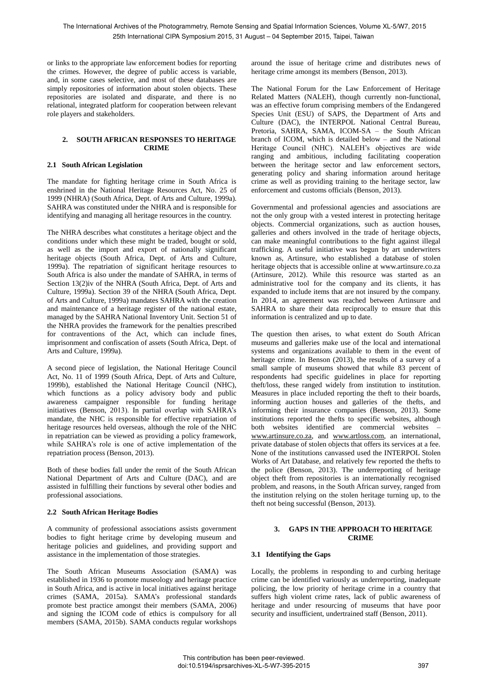or links to the appropriate law enforcement bodies for reporting the crimes. However, the degree of public access is variable, and, in some cases selective, and most of these databases are simply repositories of information about stolen objects. These repositories are isolated and disparate, and there is no relational, integrated platform for cooperation between relevant role players and stakeholders.

# **2. SOUTH AFRICAN RESPONSES TO HERITAGE CRIME**

# **2.1 South African Legislation**

The mandate for fighting heritage crime in South Africa is enshrined in the National Heritage Resources Act, No. 25 of 1999 (NHRA) (South Africa, Dept. of Arts and Culture, 1999a). SAHRA was constituted under the NHRA and is responsible for identifying and managing all heritage resources in the country.

The NHRA describes what constitutes a heritage object and the conditions under which these might be traded, bought or sold, as well as the import and export of nationally significant heritage objects (South Africa, Dept. of Arts and Culture, 1999a). The repatriation of significant heritage resources to South Africa is also under the mandate of SAHRA, in terms of Section 13(2)iv of the NHRA (South Africa, Dept. of Arts and Culture, 1999a). Section 39 of the NHRA (South Africa, Dept. of Arts and Culture, 1999a) mandates SAHRA with the creation and maintenance of a heritage register of the national estate, managed by the SAHRA National Inventory Unit. Section 51 of the NHRA provides the framework for the penalties prescribed for contraventions of the Act, which can include fines, imprisonment and confiscation of assets (South Africa, Dept. of Arts and Culture, 1999a).

A second piece of legislation, the National Heritage Council Act, No. 11 of 1999 (South Africa, Dept. of Arts and Culture, 1999b), established the National Heritage Council (NHC), which functions as a policy advisory body and public awareness campaigner responsible for funding heritage initiatives (Benson, 2013). In partial overlap with SAHRA's mandate, the NHC is responsible for effective repatriation of heritage resources held overseas, although the role of the NHC in repatriation can be viewed as providing a policy framework, while SAHRA's role is one of active implementation of the repatriation process (Benson, 2013).

Both of these bodies fall under the remit of the South African National Department of Arts and Culture (DAC), and are assisted in fulfilling their functions by several other bodies and professional associations.

# **2.2 South African Heritage Bodies**

A community of professional associations assists government bodies to fight heritage crime by developing museum and heritage policies and guidelines, and providing support and assistance in the implementation of those strategies.

The South African Museums Association (SAMA) was established in 1936 to promote museology and heritage practice in South Africa, and is active in local initiatives against heritage crimes (SAMA, 2015a). SAMA's professional standards promote best practice amongst their members (SAMA, 2006) and signing the ICOM code of ethics is compulsory for all members (SAMA, 2015b). SAMA conducts regular workshops

around the issue of heritage crime and distributes news of heritage crime amongst its members (Benson, 2013).

The National Forum for the Law Enforcement of Heritage Related Matters (NALEH), though currently non-functional, was an effective forum comprising members of the Endangered Species Unit (ESU) of SAPS, the Department of Arts and Culture (DAC), the INTERPOL National Central Bureau, Pretoria, SAHRA, SAMA, ICOM-SA – the South African branch of ICOM, which is detailed below – and the National Heritage Council (NHC). NALEH's objectives are wide ranging and ambitious, including facilitating cooperation between the heritage sector and law enforcement sectors, generating policy and sharing information around heritage crime as well as providing training to the heritage sector, law enforcement and customs officials (Benson, 2013).

Governmental and professional agencies and associations are not the only group with a vested interest in protecting heritage objects. Commercial organizations, such as auction houses, galleries and others involved in the trade of heritage objects, can make meaningful contributions to the fight against illegal trafficking. A useful initiative was begun by art underwriters known as, Artinsure, who established a database of stolen heritage objects that is accessible online at www.artinsure.co.za (Artinsure, 2012). While this resource was started as an administrative tool for the company and its clients, it has expanded to include items that are not insured by the company. In 2014, an agreement was reached between Artinsure and SAHRA to share their data reciprocally to ensure that this information is centralized and up to date.

The question then arises, to what extent do South African museums and galleries make use of the local and international systems and organizations available to them in the event of heritage crime. In Benson (2013), the results of a survey of a small sample of museums showed that while 83 percent of respondents had specific guidelines in place for reporting theft/loss, these ranged widely from institution to institution. Measures in place included reporting the theft to their boards, informing auction houses and galleries of the thefts, and informing their insurance companies (Benson, 2013). Some institutions reported the thefts to specific websites, although both websites identified are commercial websites – www.artinsure.co.za, and www.artloss.com, an international, private database of stolen objects that offers its services at a fee. None of the institutions canvassed used the INTERPOL Stolen Works of Art Database, and relatively few reported the thefts to the police (Benson, 2013). The underreporting of heritage object theft from repositories is an internationally recognised problem, and reasons, in the South African survey, ranged from the institution relying on the stolen heritage turning up, to the theft not being successful (Benson, 2013).

#### **3. GAPS IN THE APPROACH TO HERITAGE CRIME**

# **3.1 Identifying the Gaps**

Locally, the problems in responding to and curbing heritage crime can be identified variously as underreporting, inadequate policing, the low priority of heritage crime in a country that suffers high violent crime rates, lack of public awareness of heritage and under resourcing of museums that have poor security and insufficient, undertrained staff (Benson, 2011).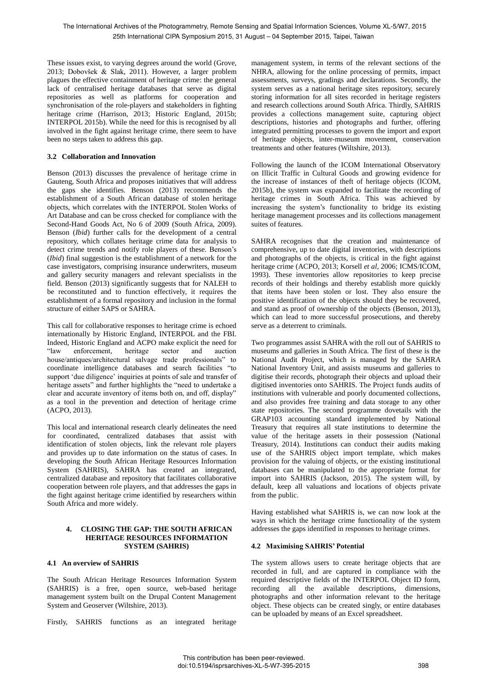These issues exist, to varying degrees around the world (Grove, 2013; Dobovšek & Slak, 2011). However, a larger problem plagues the effective containment of heritage crime: the general lack of centralised heritage databases that serve as digital repositories as well as platforms for cooperation and synchronisation of the role-players and stakeholders in fighting heritage crime (Harrison, 2013; Historic England, 2015b; INTERPOL 2015b). While the need for this is recognised by all involved in the fight against heritage crime, there seem to have been no steps taken to address this gap.

# **3.2 Collaboration and Innovation**

Benson (2013) discusses the prevalence of heritage crime in Gauteng, South Africa and proposes initiatives that will address the gaps she identifies. Benson (2013) recommends the establishment of a South African database of stolen heritage objects, which correlates with the INTERPOL Stolen Works of Art Database and can be cross checked for compliance with the Second-Hand Goods Act, No 6 of 2009 (South Africa, 2009). Benson (*Ibid*) further calls for the development of a central repository, which collates heritage crime data for analysis to detect crime trends and notify role players of these. Benson's (*Ibid*) final suggestion is the establishment of a network for the case investigators, comprising insurance underwriters, museum and gallery security managers and relevant specialists in the field. Benson (2013) significantly suggests that for NALEH to be reconstituted and to function effectively, it requires the establishment of a formal repository and inclusion in the formal structure of either SAPS or SAHRA.

This call for collaborative responses to heritage crime is echoed internationally by Historic England, INTERPOL and the FBI. Indeed, Historic England and ACPO make explicit the need for "law enforcement, heritage sector and auction house/antiques/architectural salvage trade professionals" to coordinate intelligence databases and search facilities "to support 'due diligence' inquiries at points of sale and transfer of heritage assets" and further highlights the "need to undertake a clear and accurate inventory of items both on, and off, display" as a tool in the prevention and detection of heritage crime (ACPO, 2013).

This local and international research clearly delineates the need for coordinated, centralized databases that assist with identification of stolen objects, link the relevant role players and provides up to date information on the status of cases. In developing the South African Heritage Resources Information System (SAHRIS), SAHRA has created an integrated, centralized database and repository that facilitates collaborative cooperation between role players, and that addresses the gaps in the fight against heritage crime identified by researchers within South Africa and more widely.

#### **4. CLOSING THE GAP: THE SOUTH AFRICAN HERITAGE RESOURCES INFORMATION SYSTEM (SAHRIS)**

# **4.1 An overview of SAHRIS**

The South African Heritage Resources Information System (SAHRIS) is a free, open source, web-based heritage management system built on the Drupal Content Management System and Geoserver (Wiltshire, 2013).

Firstly, SAHRIS functions as an integrated heritage

management system, in terms of the relevant sections of the NHRA, allowing for the online processing of permits, impact assessments, surveys, gradings and declarations. Secondly, the system serves as a national heritage sites repository, securely storing information for all sites recorded in heritage registers and research collections around South Africa. Thirdly, SAHRIS provides a collections management suite, capturing object descriptions, histories and photographs and further, offering integrated permitting processes to govern the import and export of heritage objects, inter-museum movement, conservation treatments and other features (Wiltshire, 2013).

Following the launch of the ICOM International Observatory on Illicit Traffic in Cultural Goods and growing evidence for the increase of instances of theft of heritage objects (ICOM, 2015b), the system was expanded to facilitate the recording of heritage crimes in South Africa. This was achieved by increasing the system's functionality to bridge its existing heritage management processes and its collections management suites of features.

SAHRA recognises that the creation and maintenance of comprehensive, up to date digital inventories, with descriptions and photographs of the objects, is critical in the fight against heritage crime (ACPO, 2013; Korsell *et al*, 2006; ICMS/ICOM, 1993). These inventories allow repositories to keep precise records of their holdings and thereby establish more quickly that items have been stolen or lost. They also ensure the positive identification of the objects should they be recovered, and stand as proof of ownership of the objects (Benson, 2013), which can lead to more successful prosecutions, and thereby serve as a deterrent to criminals.

Two programmes assist SAHRA with the roll out of SAHRIS to museums and galleries in South Africa. The first of these is the National Audit Project, which is managed by the SAHRA National Inventory Unit, and assists museums and galleries to digitise their records, photograph their objects and upload their digitised inventories onto SAHRIS. The Project funds audits of institutions with vulnerable and poorly documented collections, and also provides free training and data storage to any other state repositories. The second programme dovetails with the GRAP103 accounting standard implemented by National Treasury that requires all state institutions to determine the value of the heritage assets in their possession (National Treasury, 2014). Institutions can conduct their audits making use of the SAHRIS object import template, which makes provision for the valuing of objects, or the existing institutional databases can be manipulated to the appropriate format for import into SAHRIS (Jackson, 2015). The system will, by default, keep all valuations and locations of objects private from the public.

Having established what SAHRIS is, we can now look at the ways in which the heritage crime functionality of the system addresses the gaps identified in responses to heritage crimes.

# **4.2 Maximising SAHRIS' Potential**

The system allows users to create heritage objects that are recorded in full, and are captured in compliance with the required descriptive fields of the INTERPOL Object ID form, recording all the available descriptions, dimensions, photographs and other information relevant to the heritage object. These objects can be created singly, or entire databases can be uploaded by means of an Excel spreadsheet.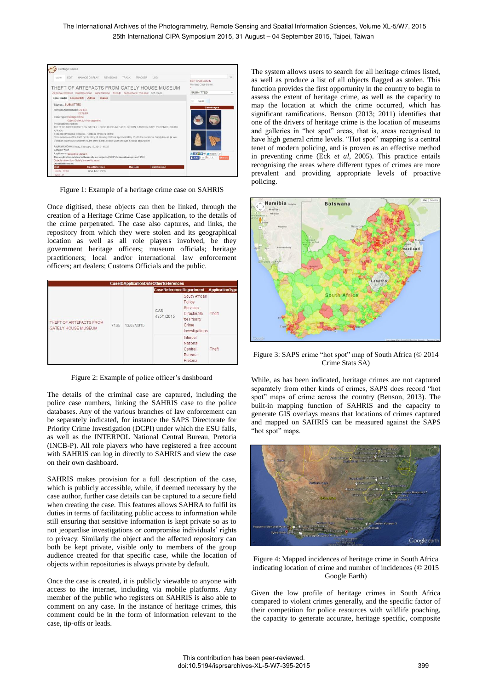The International Archives of the Photogrammetry, Remote Sensing and Spatial Information Sciences, Volume XL-5/W7, 2015 25th International CIPA Symposium 2015, 31 August – 04 September 2015, Taipei, Taiwan



Figure 1: Example of a heritage crime case on SAHRIS

Once digitised, these objects can then be linked, through the creation of a Heritage Crime Case application, to the details of the crime perpetrated. The case also captures, and links, the repository from which they were stolen and its geographical location as well as all role players involved, be they government heritage officers; museum officials; heritage practitioners; local and/or international law enforcement officers; art dealers; Customs Officials and the public.

| THEFT OF ARTEFACTS FROM<br><b>GATELY HOUSE MUSEUM</b> |      | 13/02/2015 | <b>CaseReferenceDepartment ApplicationType</b> |                                                                                                        |       |
|-------------------------------------------------------|------|------------|------------------------------------------------|--------------------------------------------------------------------------------------------------------|-------|
|                                                       | 7165 |            | CAS<br>435/1/2015                              | South African<br>Police<br>Services -<br><b>Directorate</b><br>for Priority<br>Crime<br>Investigations | Theft |
|                                                       |      |            |                                                | Interpol<br>National<br>Central<br>Bureau -<br>Pretoria                                                | Theft |

Figure 2: Example of police officer's dashboard

The details of the criminal case are captured, including the police case numbers, linking the SAHRIS case to the police databases. Any of the various branches of law enforcement can be separately indicated, for instance the SAPS Directorate for Priority Crime Investigation (DCPI) under which the ESU falls, as well as the INTERPOL National Central Bureau, Pretoria (INCB-P). All role players who have registered a free account with SAHRIS can log in directly to SAHRIS and view the case on their own dashboard.

SAHRIS makes provision for a full description of the case, which is publicly accessible, while, if deemed necessary by the case author, further case details can be captured to a secure field when creating the case. This features allows SAHRA to fulfil its duties in terms of facilitating public access to information while still ensuring that sensitive information is kept private so as to not jeopardise investigations or compromise individuals' rights to privacy. Similarly the object and the affected repository can both be kept private, visible only to members of the group audience created for that specific case, while the location of objects within repositories is always private by default.

Once the case is created, it is publicly viewable to anyone with access to the internet, including via mobile platforms. Any member of the public who registers on SAHRIS is also able to comment on any case. In the instance of heritage crimes, this comment could be in the form of information relevant to the case, tip-offs or leads.

The system allows users to search for all heritage crimes listed, as well as produce a list of all objects flagged as stolen. This function provides the first opportunity in the country to begin to assess the extent of heritage crime, as well as the capacity to map the location at which the crime occurred, which has significant ramifications. Benson (2013; 2011) identifies that one of the drivers of heritage crime is the location of museums and galleries in "hot spot" areas, that is, areas recognised to have high general crime levels. "Hot spot" mapping is a central tenet of modern policing, and is proven as an effective method in preventing crime (Eck *et al*, 2005). This practice entails recognising the areas where different types of crimes are more prevalent and providing appropriate levels of proactive policing.



Figure 3: SAPS crime "hot spot" map of South Africa (© 2014 Crime Stats SA)

While, as has been indicated, heritage crimes are not captured separately from other kinds of crimes, SAPS does record "hot spot" maps of crime across the country (Benson, 2013). The built-in mapping function of SAHRIS and the capacity to generate GIS overlays means that locations of crimes captured and mapped on SAHRIS can be measured against the SAPS "hot spot" maps.



Figure 4: Mapped incidences of heritage crime in South Africa indicating location of crime and number of incidences (© 2015 Google Earth)

Given the low profile of heritage crimes in South Africa compared to violent crimes generally, and the specific factor of their competition for police resources with wildlife poaching, the capacity to generate accurate, heritage specific, composite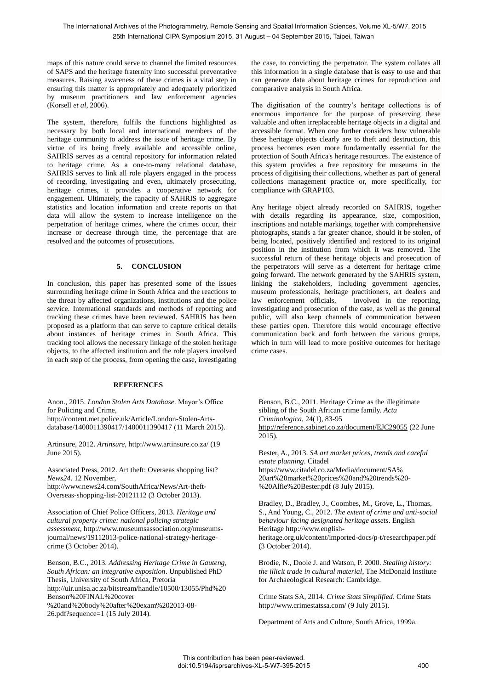maps of this nature could serve to channel the limited resources of SAPS and the heritage fraternity into successful preventative measures. Raising awareness of these crimes is a vital step in ensuring this matter is appropriately and adequately prioritized by museum practitioners and law enforcement agencies (Korsell *et al*, 2006).

The system, therefore, fulfils the functions highlighted as necessary by both local and international members of the heritage community to address the issue of heritage crime. By virtue of its being freely available and accessible online, SAHRIS serves as a central repository for information related to heritage crime. As a one-to-many relational database, SAHRIS serves to link all role players engaged in the process of recording, investigating and even, ultimately prosecuting, heritage crimes, it provides a cooperative network for engagement. Ultimately, the capacity of SAHRIS to aggregate statistics and location information and create reports on that data will allow the system to increase intelligence on the perpetration of heritage crimes, where the crimes occur, their increase or decrease through time, the percentage that are resolved and the outcomes of prosecutions.

# **5. CONCLUSION**

In conclusion, this paper has presented some of the issues surrounding heritage crime in South Africa and the reactions to the threat by affected organizations, institutions and the police service. International standards and methods of reporting and tracking these crimes have been reviewed. SAHRIS has been proposed as a platform that can serve to capture critical details about instances of heritage crimes in South Africa. This tracking tool allows the necessary linkage of the stolen heritage objects, to the affected institution and the role players involved in each step of the process, from opening the case, investigating

# **REFERENCES**

Anon., 2015. *London Stolen Arts Database*. Mayor's Office for Policing and Crime,

http://content.met.police.uk/Article/London-Stolen-Artsdatabase/1400011390417/1400011390417 (11 March 2015).

Artinsure, 2012. *Artinsure,* http://www.artinsure.co.za/ (19 June 2015).

Associated Press, 2012. Art theft: Overseas shopping list? *News24*. 12 November,

http://www.news24.com/SouthAfrica/News/Art-theft-Overseas-shopping-list-20121112 (3 October 2013).

Association of Chief Police Officers, 2013. *Heritage and cultural property crime: national policing strategic assessment,* http://www.museumsassociation.org/museumsjournal/news/19112013-police-national-strategy-heritagecrime (3 October 2014).

Benson, B.C., 2013. *Addressing Heritage Crime in Gauteng, South African: an integrative exposition*. Unpublished PhD Thesis, University of South Africa, Pretoria http://uir.unisa.ac.za/bitstream/handle/10500/13055/Phd%20 Benson%20FINAL%20cover %20and%20body%20after%20exam%202013-08- 26.pdf?sequence=1 (15 July 2014).

the case, to convicting the perpetrator. The system collates all this information in a single database that is easy to use and that can generate data about heritage crimes for reproduction and comparative analysis in South Africa.

The digitisation of the country's heritage collections is of enormous importance for the purpose of preserving these valuable and often irreplaceable heritage objects in a digital and accessible format. When one further considers how vulnerable these heritage objects clearly are to theft and destruction, this process becomes even more fundamentally essential for the protection of South Africa's heritage resources. The existence of this system provides a free repository for museums in the process of digitising their collections, whether as part of general collections management practice or, more specifically, for compliance with GRAP103.

Any heritage object already recorded on SAHRIS, together with details regarding its appearance, size, composition, inscriptions and notable markings, together with comprehensive photographs, stands a far greater chance, should it be stolen, of being located, positively identified and restored to its original position in the institution from which it was removed. The successful return of these heritage objects and prosecution of the perpetrators will serve as a deterrent for heritage crime going forward. The network generated by the SAHRIS system, linking the stakeholders, including government agencies, museum professionals, heritage practitioners, art dealers and law enforcement officials, involved in the reporting, investigating and prosecution of the case, as well as the general public, will also keep channels of communication between these parties open. Therefore this would encourage effective communication back and forth between the various groups, which in turn will lead to more positive outcomes for heritage crime cases.

Benson, B.C., 2011. Heritage Crime as the illegitimate sibling of the South African crime family. *Acta Criminologica,* 24(1), 83-95 http://reference.sabinet.co.za/document/EJC29055 (22 June 2015).

Bester, A., 2013. *SA art market prices, trends and careful estate planning*. Citadel https://www.citadel.co.za/Media/document/SA% 20art%20market%20prices%20and%20trends%20- %20Alfie%20Bester.pdf (8 July 2015).

Bradley, D., Bradley, J., Coombes, M., Grove, L., Thomas, S., And Young, C., 2012. *The extent of crime and anti-social behaviour facing designated heritage assets*. English Heritage http://www.englishheritage.org.uk/content/imported-docs/p-t/researchpaper.pdf (3 October 2014).

Brodie, N., Doole J. and Watson, P. 2000. *Stealing history: the illicit trade in cultural material*, The McDonald Institute for Archaeological Research: Cambridge.

Crime Stats SA, 2014. *Crime Stats Simplified*. Crime Stats http://www.crimestatssa.com/ (9 July 2015).

Department of Arts and Culture, South Africa, 1999a.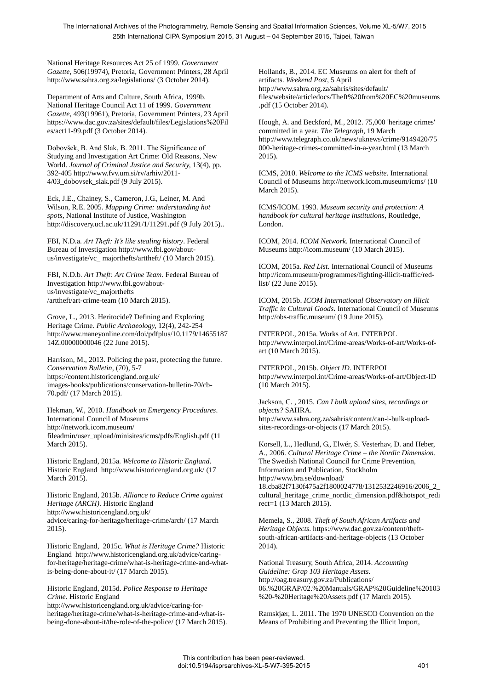The International Archives of the Photogrammetry, Remote Sensing and Spatial Information Sciences, Volume XL-5/W7, 2015 25th International CIPA Symposium 2015, 31 August – 04 September 2015, Taipei, Taiwan

National Heritage Resources Act 25 of 1999. *Government Gazette*, 506(19974), Pretoria, Government Printers, 28 April http://www.sahra.org.za/legislations/ (3 October 2014).

Department of Arts and Culture, South Africa, 1999b. National Heritage Council Act 11 of 1999. *Government Gazette*, 493(19961), Pretoria, Government Printers, 23 April https://www.dac.gov.za/sites/default/files/Legislations%20Fil es/act11-99.pdf (3 October 2014).

Dobovšek, B. And Slak, B. 2011. The Significance of Studying and Investigation Art Crime: Old Reasons, New World. *Journal of Criminal Justice and Security,* 13(4), pp. 392-405 http://www.fvv.um.si/rv/arhiv/2011- 4/03\_dobovsek\_slak.pdf (9 July 2015).

Eck, J.E., Chainey, S., Cameron, J.G., Leiner, M. And Wilson, R.E. 2005. *Mapping Crime: understanding hot spots*, National Institute of Justice, Washington http://discovery.ucl.ac.uk/11291/1/11291.pdf (9 July 2015)..

FBI, N.D.a. *Art Theft: It's like stealing history*. Federal Bureau of Investigation http://www.fbi.gov/aboutus/investigate/vc\_ majorthefts/arttheft/ (10 March 2015).

FBI, N.D.b. *Art Theft: Art Crime Team*. Federal Bureau of Investigation http://www.fbi.gov/aboutus/investigate/vc\_majorthefts /arttheft/art-crime-team (10 March 2015).

Grove, L., 2013. Heritocide? Defining and Exploring Heritage Crime. *Public Archaeology,* 12(4), 242-254 http://www.maneyonline.com/doi/pdfplus/10.1179/14655187 14Z.00000000046 (22 June 2015).

Harrison, M., 2013. Policing the past, protecting the future. *Conservation Bulletin,* (70), 5-7 https://content.historicengland.org.uk/ images-books/publications/conservation-bulletin-70/cb-70.pdf/ (17 March 2015).

Hekman, W., 2010. *Handbook on Emergency Procedures*. International Council of Museums http://network.icom.museum/ fileadmin/user\_upload/minisites/icms/pdfs/English.pdf (11 March 2015).

Historic England, 2015a. *Welcome to Historic England*. Historic England http://www.historicengland.org.uk/ (17 March 2015).

Historic England, 2015b. *Alliance to Reduce Crime against Heritage (ARCH)*. Historic England http://www.historicengland.org.uk/ advice/caring-for-heritage/heritage-crime/arch/ (17 March 2015).

Historic England, 2015c. *What is Heritage Crime?* Historic England http://www.historicengland.org.uk/advice/caringfor-heritage/heritage-crime/what-is-heritage-crime-and-whatis-being-done-about-it/ (17 March 2015).

Historic England, 2015d. *Police Response to Heritage Crime*. Historic England

http://www.historicengland.org.uk/advice/caring-forheritage/heritage-crime/what-is-heritage-crime-and-what-isbeing-done-about-it/the-role-of-the-police/ (17 March 2015). Hollands, B., 2014. EC Museums on alert for theft of artifacts. *Weekend Post*, 5 April http://www.sahra.org.za/sahris/sites/default/ files/website/articledocs/Theft%20from%20EC%20museums .pdf (15 October 2014).

Hough, A. and Beckford, M., 2012. 75,000 'heritage crimes' committed in a year. *The Telegraph,* 19 March http://www.telegraph.co.uk/news/uknews/crime/9149420/75 000-heritage-crimes-committed-in-a-year.html (13 March 2015).

ICMS, 2010. *Welcome to the ICMS website*. International Council of Museums http://network.icom.museum/icms/ (10 March 2015).

ICMS/ICOM. 1993. *Museum security and protection: A handbook for cultural heritage institutions*, Routledge, London.

ICOM, 2014. *ICOM Network*. International Council of Museums http://icom.museum/ (10 March 2015).

ICOM, 2015a. *Red List*. International Council of Museums http://icom.museum/programmes/fighting-illicit-traffic/redlist/ (22 June 2015).

ICOM, 2015b. *ICOM International Observatory on Illicit Traffic in Cultural Goods***.** International Council of Museums http://obs-traffic.museum/ (19 June 2015).

INTERPOL, 2015a. Works of Art. INTERPOL http://www.interpol.int/Crime-areas/Works-of-art/Works-ofart (10 March 2015).

INTERPOL, 2015b. *Object ID*. INTERPOL http://www.interpol.int/Crime-areas/Works-of-art/Object-ID (10 March 2015).

Jackson, C. , 2015. *Can I bulk upload sites, recordings or objects?* SAHRA. http://www.sahra.org.za/sahris/content/can-i-bulk-uploadsites-recordings-or-objects (17 March 2015).

Korsell, L., Hedlund, G., Elwér, S. Vesterhav, D. and Heber, A., 2006. *Cultural Heritage Crime – the Nordic Dimension*. The Swedish National Council for Crime Prevention, Information and Publication, Stockholm http://www.bra.se/download/ 18.cba82f7130f475a2f1800024778/1312532246916/2006\_2\_ cultural\_heritage\_crime\_nordic\_dimension.pdf&hotspot\_redi rect=1 (13 March 2015).

Memela, S., 2008. *Theft of South African Artifacts and Heritage Objects*. https://www.dac.gov.za/content/theftsouth-african-artifacts-and-heritage-objects (13 October 2014).

National Treasury, South Africa, 2014. *Accounting Guideline: Grap 103 Heritage Assets*. http://oag.treasury.gov.za/Publications/ 06.%20GRAP/02.%20Manuals/GRAP%20Guideline%20103 %20-%20Heritage%20Assets.pdf (17 March 2015).

Ramskjær, L. 2011. The 1970 UNESCO Convention on the Means of Prohibiting and Preventing the Illicit Import,